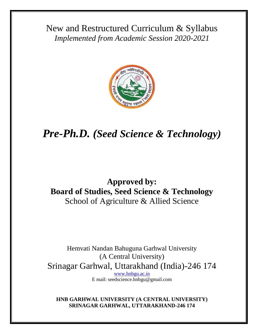New and Restructured Curriculum & Syllabus *Implemented from Academic Session 2020-2021*



# *Pre-Ph.D. (Seed Science & Technology)*

# **Approved by: Board of Studies, Seed Science & Technology** School of Agriculture & Allied Science

Hemvati Nandan Bahuguna Garhwal University (A Central University) Srinagar Garhwal, Uttarakhand (India)-246 174 [www.hnbgu.ac.in](http://www.hnbgu.ac.in/)

E mail: seedscience.hnbgu@gmail.com

**HNB GARHWAL UNIVERSITY (A CENTRAL UNIVERSITY) SRINAGAR GARHWAL, UTTARAKHAND-246 174**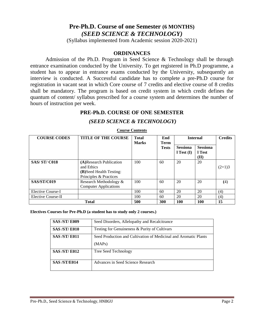# **Pre-Ph.D. Course of one Semester (6 MONTHS)** *(SEED SCIENCE & TECHNOLOGY)*

(Syllabus implemented from Academic session 2020-2021)

#### **ORDINANCES**

Admission of the Ph.D. Program in Seed Science & Technology shall be through entrance examination conducted by the University. To get registered in Ph.D programme, a student has to appear in entrance exams conducted by the University, subsequently an interview is conducted. A Successful candidate has to complete a pre-Ph.D course for registration in vacant seat in which Core course of 7 credits and elective course of 8 credits shall be mandatory. The program is based on credit system in which credit defines the quantum of content/ syllabus prescribed for a course system and determines the number of hours of instruction per week.

### **PRE-Ph.D. COURSE OF ONE SEMESTER**

#### *(SEED SCIENCE & TECHNOLOGY)*

| <b>COURSE CODES</b> | <b>TITLE OF THE COURSE</b>                                                                          | <b>Total</b><br><b>Marks</b> | End<br><b>Term</b> | <b>Internal</b>                   |                                   | <b>Credits</b> |
|---------------------|-----------------------------------------------------------------------------------------------------|------------------------------|--------------------|-----------------------------------|-----------------------------------|----------------|
|                     |                                                                                                     |                              | <b>Tests</b>       | <b>Sessiona</b><br>$l$ Test $(I)$ | <b>Sessiona</b><br>1 Test<br>(II) |                |
| <b>SAS/ST/C018</b>  | (A) Research Publication<br>and Ethics<br><b>(B)</b> Seed Health Testing:<br>Principles & Practices | 100                          | 60                 | 20                                | 20                                | $(2+1)3$       |
| SAS/ST/C019         | Research Methodology &<br><b>Computer Applications</b>                                              | 100                          | 60                 | 20                                | 20                                | (4)            |
| Elective Course-I   |                                                                                                     | 100                          | 60                 | 20                                | 20                                | (4)            |
| Elective Course-II  |                                                                                                     | 100                          | 60                 | 20                                | 20                                | (4)            |
| <b>Total</b>        |                                                                                                     | 500                          | 300                | 100                               | 100                               | 15             |

#### **Course Contents**

**Electives Courses for Pre-Ph.D (a student has to study only 2 courses.)**

| <b>SAS /ST/ E009</b> | Seed Disorders, Allelopathy and Recalcitrance                              |  |  |
|----------------------|----------------------------------------------------------------------------|--|--|
| <b>SAS /ST/ E010</b> | Testing for Genuineness & Purity of Cultivars                              |  |  |
| <b>SAS /ST/ E011</b> | Seed Production and Cultivation of Medicinal and Aromatic Plants<br>(MAPs) |  |  |
| <b>SAS /ST/ E012</b> | <b>Tree Seed Technology</b>                                                |  |  |
| <b>SAS/ST/E014</b>   | Advances in Seed Science Research                                          |  |  |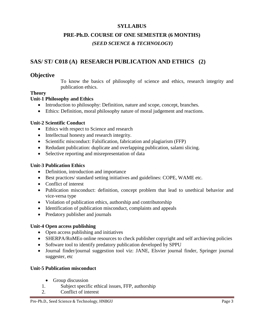# **SYLLABUS**

# **PRE-Ph.D. COURSE OF ONE SEMESTER (6 MONTHS)**

*(SEED SCIENCE & TECHNOLOGY)*

# **SAS/ ST/ C018 (A) RESEARCH PUBLICATION AND ETHICS (2)**

# **Objective**

To know the basics of philosophy of science and ethics, research integrity and publication ethics.

# **Theory**

# **Unit-1 Philosophy and Ethics**

- Introduction to philosophy: Definition, nature and scope, concept, branches.
- Ethics: Definition, moral philosophy nature of moral judgement and reactions.

# **Unit-2 Scientific Conduct**

- Ethics with respect to Science and research
- Intellectual honesty and research integrity.
- Scientific misconduct: Falsification, fabrication and plagiarism (FFP)
- Redudant publication: duplicate and overlapping publication, salami slicing.
- Selective reporting and misrepresentation of data

# **Unit-3 Publication Ethics**

- Definition, introduction and importance
- Best practices/ standard setting initiatives and guidelines: COPE, WAME etc.
- Conflict of interest
- Publication misconduct: definition, concept problem that lead to unethical behavior and vice-versa type
- Violation of publication ethics, authorship and contributorship
- Identification of publication misconduct, complaints and appeals
- Predatory publisher and journals

# **Unit-4 Open access publishing**

- Open access publishing and initiatives
- SHERPA/RoMEo online resources to check publisher copyright and self archieving policies
- Software tool to identify predatory publication developed by SPPU
- Journal finder/journal suggestion tool viz: JANE, Elsvier journal finder, Springer journal suggester, etc

# **Unit-5 Publication misconduct**

- Group discussion
- 1. Subject specific ethical issues, FFP, authorship
- 2. Conflict of interest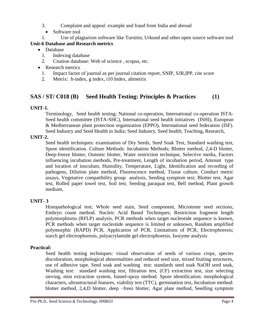- 3. Complaint and appeal: example and fraud from India and abroad
	- Software tool
- 1. Use of plagiarism software like Turnitin, Urkund and other open source software tool

# **Unit-6 Database and Research metrics**

- Database
	- 1. Indexing database
	- 2. Citation database: Web of science , scopus, etc.
- Research metrics
	- 1. Impact factor of journal as per journal citation report, SNIP, SJR,IPP, cite score
	- 2. Metrix: h-index, g index, i10 Index, altmetrix

# **SAS / ST/ C018 (B) Seed Health Testing: Principles & Practices (1)**

# **UNIT-1.**

Terminology, Seed health testing; National co-operation, International co-operation ISTA-Seed health committee (ISTA-SHC), International seed health initiatives (ISHI), European & Mediterranean plant protection organization (EPPO), International seed federation (ISF). Seed Industry and Seed Health in India; Seed Industry, Seed health; Teaching, Research,

### **UNIT-2.**

Seed health techniques: examination of Dry Seeds, Seed Soak Test, Standard washing test, Spore identification. Culture Methods: Incubation Methods; Blotter method, 2,4-D blotter, Deep-freeze blotter, Osmotic blotter, Water restriction technique, Selective media, Factors influencing incubation methods, Pre-treatment, Length of incubation period, Amount type and location of inoculum, Humidity, Temperature, Light, Identification and recording of pathogens, Dilution plate method, Fluorescence method, Tissue culture, Conduct metric assays, Vegetative compatibility group analysis, Seeding symptom test; Blotter test, Agar test, Rolled paper towel test, Soil test, Seeding paraquat test, Bell method, Plant growth medium,

# **UNIT- 3**

Histopathological test; Whole seed stain, Seed component, Microtome seed sections, Embryo count method. Nucleic Acid Based Techniques; Restriction fragment length polymorphisms (RFLP) analysis, PCR methods when target nucleotide sequence is known, PCR methods when target nucleotide sequence is limited or unknown, Random amplified polymorphic (RAPD) PCR, Application of PCR, Limitations of PCR, Electrophoresis; starch gel electrophoresis, polyacrylamide gel electrophoresis, Isozyme analysis

# **Practical:**

Seed health testing techniques: visual observation of seeds of various crops, species discoloration, morphological abnormalities and reduced seed size, mixed fruiting structures, use of adhesive tape. Seed soak and washing test: standards seed soak NaOH seed soak, Washing test: standard washing test, filtration test, (CF) extraction test, size selecting sieving, mist extraction system, funnel-spray method. Spore identification: morphological characters, ultrastructural features, viability test (TTC), germination test, Incubation method: blotter method, 2,4,D blotter, deep –freez blotter, Agar plate method, Seedling symptom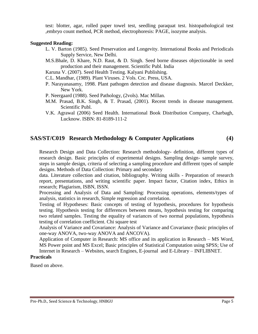test: blotter, agar, rolled paper towel test, seedling paraquat test. histopathological test ,embryo count method, PCR method, electrophoresis: PAGE, isozyme analysis.

#### **Suggested Reading:**

- L. V. Barton (1985). Seed Preservation and Longevity. International Books and Periodicals Supply Service, New Delhi.
- M.S.Bhale, D. Khare, N.D. Raut, & D. Singh. Seed borne diseases objectionable in seed production and their management. Scientific Publ. India

Karuna V. (2007). Seed Health Testing. Kalyani Publishing.

C.L. Mandhar, (1989). Plant Viruses. 2 Vols. Crc. Press, USA.

- P. Narayanasamy, 1998. Plant pathogen detection and disease diagnosis. Marcel Deckker, New York.
- P. Neergaard (1988). Seed Pathology, (2vols). Mac Millan.
- M.M. Prasad, B.K. Singh, & T. Prasad, (2001). Recent trends in disease management. Scientific Publ.
- V.K. Agrawal (2006) Seed Health. International Book Distribution Company, Charbagh, Lucknow. ISBN: 81-8189-111-2

# **SAS/ST/C019 Research Methodology & Computer Applications (4)**

Research Design and Data Collection: Research methodology- definition, different types of research design. Basic principles of experimental designs. Sampling design- sample survey, steps in sample design, criteria of selecting a sampling procedure and different types of sample designs. Methods of Data Collection: Primary and secondary

data. Literature collection and citation, bibliography. Writing skills - Preparation of research report, presentations, and writing scientific paper. Impact factor, Citation index, Ethics in research; Plagiarism, ISBN, ISSN.

Processing and Analysis of Data and Sampling: Processing operations, elements/types of analysis, statistics in research, Simple regression and correlation.

Testing of Hypotheses: Basic concepts of testing of hypothesis, procedures for hypothesis testing. Hypothesis testing for differences between means, hypothesis testing for comparing two related samples. Testing the equality of variances of two normal populations, hypothesis testing of correlation coefficient. Chi square test

Analysis of Variance and Covariance: Analysis of Variance and Covariance (basic principles of one-way ANOVA, two-way ANOVA and ANCOVA).

Application of Computer in Research: MS office and its application in Research – MS Word, MS Power point and MS Excel; Basic principles of Statistical Computation using SPSS; Use of Internet in Research – Websites, search Engines, E-journal and E-Library – INFLIBNET.

#### **Practicals**

Based on above.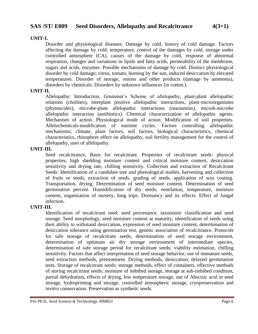# **SAS /ST/ E009 Seed Disorders, Allelopathy and Recalcitrance 4(3+1)**

#### **UNIT-I.**

Disorder and physiological diseases: Damage by cold, history of cold damage. Factors affecting the damage by cold; temperature, control of the damages by cold, storage under controlled atmosphere (CA), causes of the damage by cold, response of abnormal respiration, changes and variations in lipids and fatty acids, permeability of the membrane, sugars and acids, enzymes. Possible mechanisms of damage by cold. Distinct physiological disorder by cold damage; citrus, tomato, burning by the sun, induced desiccation by elevated temperatures. Disorder of storage, onions and other products (damage by ammonia), disorders by chemicals. Disorders by unknown influences (in cotton.).

#### **UNIT-II.**

Allelopathy: Introduction, Grummer's Scheme of allelopathy; plant-plant allelopathic relations (cholines), interplant positive allelopathic interactions, plant-microorganisms (phytoncides), microbe-plant allelopathic interactions (marasmins), microb-microbe allelopathic interaction (antibiotics). Chemical characterization of allelopathic agents. Mechanism of action. Physiological mode of action. Modification of soil properties. Allelochemicals-modification of nutrient cycles. Factors controlling allelopathic mechanisms; climate, plant factors, soil factors, biological characteristics, chemical characteristics, rhizophere effect on allelopathy, soil fertility management for the control of allelopathy, uses of allelopathy.

#### **UNIT-III.**

Seed recalcitrance, Basis for recalcitrant. Properties of recalcitrant seeds: physical properties, high shedding moisture content and critical moisture content, desiccation sensitivity and drying rate, chilling sensitivity. Collection and extraction of Recalcitrant Seeds: Identification of a candidate tree and phenological studies, harvesting and collection of fruits or seeds, extraction of seeds, grading of seeds, application of wax coating. Transportation, drying. Determination of seed moisture content. Determination of seed germination percent. Humidification of dry seeds; ventilation, temperature, moisture content, organization of nursery, long trips. Dormancy and its effects. Effect of fungal infection.

#### **UNIT-III.**

Identification of recalcitrant seed: seed provenance, taxonomic classification and seed storage. Seed morphology, seed moisture content at maturity, identification of seeds using their ability to withstand desiccation, expression of seed moisture content, determination of desiccation tolerance using germination test, genetic association of recalcitrance. Protocols for safe storage of recalcitrant seeds; determination of seed storage environment, determination of optimum air dry storage environment of intermediate species, determination of safe storage period for recalcitrant seeds; viability estimation, chilling sensitivity. Factors that affect interpretation of seed storage behavior; use of immature seeds, seed extraction methods, pretreatment. Drying methods, desiccation, delayed germination tests. Storage of recalcitrant seeds; storage methods, effect of containers, effective methods of storing recalcitrant seeds; moisture of imbibed storage, storage at sub-imbibed condition, partial dehydration, effects of drying, low temperature storage, use of Abscisic acid in seed storage, hydropriming and storage, controlled atmospheric storage, cryopreservation and *invitro* conservation. Preservation as synthetic seeds.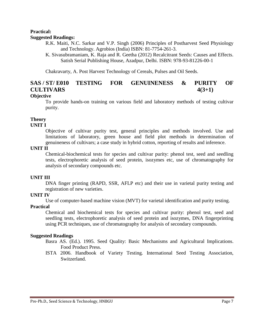#### **Practical: Suggested Readings:**

R.K. Maiti, N.C. Sarkar and V.P. Singh (2006) Principles of Postharvest Seed Physiology and Technology. Agrobios (India) ISBN: 81-7754-261-3.

K. Sivasubramaniam, K. Raja and R. Geetha (2012) Recalcitrant Seeds: Causes and Effects. Satish Serial Publishing House, Azadpur, Delhi. ISBN: 978-93-81226-00-1

Chakravarty, A. Post Harvest Technology of Cereals, Pulses and Oil Seeds.

# **SAS / ST/ E010 TESTING FOR GENUINENESS & PURITY OF CULTIVARS 4(3+1)**

### **Objective**

To provide hands-on training on various field and laboratory methods of testing cultivar purity.

# **Theory**

### **UNIT I**

Objective of cultivar purity test, general principles and methods involved. Use and limitations of laboratory, green house and field plot methods in determination of genuineness of cultivars; a case study in hybrid cotton, reporting of results and inference.

#### **UNIT II**

Chemical-biochemical tests for species and cultivar purity: phenol test, seed and seedling tests, electrophoretic analysis of seed protein, isozymes etc, use of chromatography for analysis of secondary compounds etc.

# **UNIT III**

DNA finger printing (RAPD, SSR, AFLP etc) and their use in varietal purity testing and registration of new varieties.

# **UNIT IV**

Use of computer-based machine vision (MVT) for varietal identification and purity testing.

# **Practical**

Chemical and biochemical tests for species and cultivar purity: phenol test, seed and seedling tests, electrophoretic analysis of seed protein and isozymes, DNA fingerprinting using PCR techniques, use of chromatography for analysis of secondary compounds.

#### **Suggested Readings**

- Basra AS. (Ed.). 1995. Seed Quality: Basic Mechanisms and Agricultural Implications. Food Product Press.
- ISTA 2006. Handbook of Variety Testing. International Seed Testing Association, Switzerland.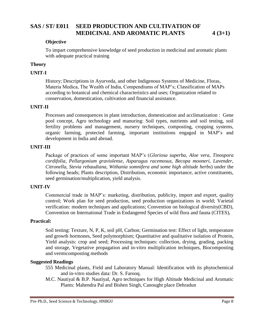# **SAS / ST/ E011 SEED PRODUCTION AND CULTIVATION OF MEDICINAL AND AROMATIC PLANTS 4 (3+1)**

#### **Objective**

To impart comprehensive knowledge of seed production in medicinal and aromatic plants with adequate practical training

#### **Theory**

#### **UNIT-I**

History; Descriptions in Ayurveda, and other Indigenous Systems of Medicine, Floras, Materia Medica, The Wealth of India, Compendiums of MAP's; Classification of MAPs according to botanical and chemical characteristics and uses; Organization related to conservation, domestication, cultivation and financial assistance.

#### **UNIT-II**

Processes and consequences in plant introduction, domestication and acclimatization : Gene pool concept, Agro technology and manuring: Soil types, nutrients and soil testing, soil fertility problems and management, nursery techniques, composting, cropping systems, organic farming, protected farming, important institutions engaged in MAP's and development in India and abroad.

#### **UNIT-III**

Package of practices of some important MAP's (*Gloriosa superba, Aloe vera, Tinospora cordifolia, Pellargonium graviolense, Asparagus racemosus, Becopa mooneri, Lavender, Citronella, Stevia rebaudiana, Withania somnifera and some high altitude herbs*) under the following heads; Plants description, Distribution, economic importance, active constituents, seed germination/multiplication, yield analysis.

#### **UNIT-IV**

Commercial trade in MAP's: marketing, distribution, publicity, import and export, quality control; Work plan for seed production, seed production organizations in world; Varietal verification: modern techniques and applications; Convention on biological diversity(CBD), Convention on International Trade in Endangered Species of wild flora and fauna (CITES),

#### **Practical:**

Soil testing: Texture, N, P, K, soil pH, Carbon; Germination test: Effect of light, temperature and growth hormones, Seed polymorphism; Quantitative and qualitative isolation of Protein, Yield analysis: crop and seed; Processing techniques: collection, drying, grading, packing and storage, Vegetative propagation and in-vitro multiplication techniques, Biocomposting and vermicomposting methods

#### **Suggested Readings**

- 555 Medicinal plants, Field and Laboratory Manual: Identification with its phytochemical and in-vitro studies data: Dr. S. Farooq.
- M.C. Nautiyal & B.P. Nautiyal, Agro techniques for High Altitude Medicinal and Aromatic Plants: Mahendra Pal and Bishen Singh, Canought place Dehradun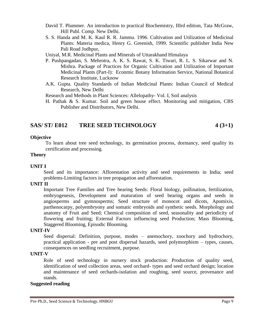- David T. Plummer. An introduction to practical Biochemistry, IIIrd edition, Tata McGraw, Hill Publ. Comp. New Delhi.
- S. S. Handa and M. K. Kaul R. R. Jammu. 1996. Cultivation and Utilization of Medicinal Plants: Materia medica, Henry G. Greenish, 1999. Scientific publisher India New Pali Road Jodhpur,

Uniyal, M.R. Medicinal Plants and Minerals of Uttarakhand Himalaya

- P. Pushpangadan, S. Mehrotra, A. K. S. Rawat, S. K. Tiwari, R. L. S. Sikarwar and N. Mishra. Package of Practices for Organic Cultivation and Utilization of Important Medicinal Plants (Part-I): Econmic Botany Information Service, National Botanical Research Institute, Lucknow
- A.K. Gupta. Quality Standards of Indian Medicinal Plants: Indian Council of Medical Research, New Delhi
- Research and Methods in Plant Sciences: Allelopathy- Vol. I, Soil analysis
- H. Pathak & S. Kumar. Soil and green house effect. Monitoring and mitigation, CBS Publisher and Distributors, New Delhi.

# **SAS/ ST/ E012 TREE SEED TECHNOLOGY 4 (3+1)**

#### **Objective**

To learn about tree seed technology, its germination process, dormancy, seed quality its certification and processing.

#### **Theory**

#### **UNIT I**

Seed and its importance: Afforestation activity and seed requirements in India; seed problems-Limiting factors in tree propagation and afforestation.

#### **UNIT II**

Important Tree Families and Tree bearing Seeds: Floral biology, pollination, fertilization, embryogenesis, Development and maturation of seed bearing organs and seeds in angiosperms and gymnosperms; Seed structure of monocot and dicots, Apomixis, parthenocarpy, polyembryony and somatic embryoids and synthetic seeds. Morphology and anatomy of Fruit and Seed; Chemical composition of seed, seasonality and periodicity of flowering and fruiting; External Factors influencing seed Production; Mass Blooming, Staggered Blooming, Episodic Blooming.

#### **UNIT-IV**

Seed dispersal: Definition, purpose, modes – anemochory, zoochory and hydrochory, practical application - pre and post dispersal hazards, seed polymorphism – types, causes, consequences on seedling recruitment, purpose.

#### **UNIT-V**

Role of seed technology in nursery stock production: Production of quality seed, identification of seed collection areas, seed orchard- types and seed orchard design; location and maintenance of seed orchards-isolation and roughing, seed source, provenance and stands.

#### **Suggested reading**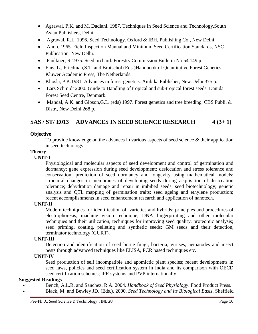- Agrawal, P.K. and M. Dadlani. 1987. Techniques in Seed Science and Technology,South Asian Publishers, Delhi.
- Agrawal, R.L. 1996. Seed Technology. Oxford & IBH, Publishing Co., New Delhi.
- Anon. 1965. Field Inspection Manual and Minimum Seed Certification Standards, NSC Publication, New Delhi.
- Faulkner, R.1975. Seed orchard. Forestry Commission Bulletin No.54.149 p.
- Fins, L., Friedman,S.T. and Brotschol (Eds.)Handbook of Quantitative Forest Genetics. Kluwer Academic Press, The Netherlands.
- Khosla, P.K.1981. Advances in forest genetics. Ambika Publisher, New Delhi.375 p.
- Lars Schmidt 2000. Guide to Handling of tropical and sub-tropical forest seeds. Danida Forest Seed Centre, Denmark.
- Mandal, A.K. and Gibson, G.L. (eds) 1997. Forest genetics and tree breeding. CBS Publi. & Distr., New Delhi 268 p.

# **SAS / ST/ E013 ADVANCES IN SEED SCIENCE RESEARCH 4 (3+ 1)**

# **Objective**

To provide knowledge on the advances in various aspects of seed science & their application in seed technology.

### **Theory**

### **UNIT-I**

Physiological and molecular aspects of seed development and control of germination and dormancy; gene expression during seed development; desiccation and stress tolerance and conservation; prediction of seed dormancy and longevity using mathematical models; structural changes in membranes of developing seeds during acquisition of desiccation tolerance; dehydration damage and repair in imbibed seeds, seed biotechnology; genetic analysis and QTL mapping of germination traits; seed ageing and ethylene production; recent accomplishments in seed enhancement research and application of nanotech.

# **UNIT-II**

Modern techniques for identification of varieties and hybrids; principles and procedures of electrophoresis, machine vision technique, DNA fingerprinting and other molecular techniques and their utilization; techniques for improving seed quality; proteomic analysis; seed priming, coating, pelleting and synthetic seeds; GM seeds and their detection, terminator technology (GURT).

# **UNIT-III**

Detection and identification of seed borne fungi, bacteria, viruses, nematodes and insect pests through advanced techniques like ELISA, PCR based techniques etc.

# **UNIT-IV**

Seed production of self incompatible and apomictic plant species; recent developments in seed laws, policies and seed certification system in India and its comparison with OECD seed certification schemes; IPR systems and PVP internationally.

# **Suggested Readings**

- Bench, A.L.R. and Sanchez, R.A. 2004. *Handbook of Seed Physiology*. Food Product Press.
- Black, M. and Bewley JD. (Eds.). 2000. *Seed Technology and its Biological Basis*. Sheffield